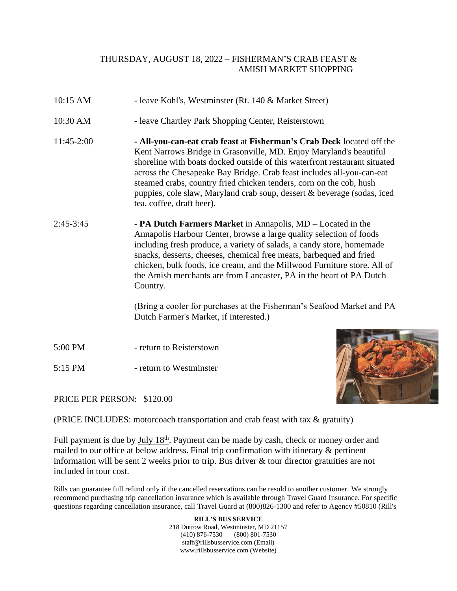## THURSDAY, AUGUST 18, 2022 – FISHERMAN'S CRAB FEAST & AMISH MARKET SHOPPING

- 10:15 AM leave Kohl's, Westminster (Rt. 140 & Market Street)
- 10:30 AM leave Chartley Park Shopping Center, Reisterstown
- 11:45-2:00 **- All-you-can-eat crab feast** at **Fisherman's Crab Deck** located off the Kent Narrows Bridge in Grasonville, MD. Enjoy Maryland's beautiful shoreline with boats docked outside of this waterfront restaurant situated across the Chesapeake Bay Bridge. Crab feast includes all-you-can-eat steamed crabs, country fried chicken tenders, corn on the cob, hush puppies, cole slaw, Maryland crab soup, dessert & beverage (sodas, iced tea, coffee, draft beer).
- 2:45-3:45 **PA Dutch Farmers Market** in Annapolis, MD Located in the Annapolis Harbour Center, browse a large quality selection of foods including [fresh produce,](http://www.padutchfarmmarket.com/fresh-produce.php) a variety of salads, a [candy store,](http://www.padutchfarmmarket.com/candy.php) homemade snacks, desserts, cheeses, chemical free meats, barbequed and fried chicken, bulk foods, ice cream, and the [Millwood Furniture](http://www.padutchfarmmarket.com/furniture.php) store. All of the Amish merchants are from Lancaster, PA in the heart of PA Dutch Country.

(Bring a cooler for purchases at the Fisherman's Seafood Market and PA Dutch Farmer's Market, if interested.)

- 5:00 PM return to Reisterstown
- 5:15 PM return to Westminster



PRICE PER PERSON: \$120.00

(PRICE INCLUDES: motorcoach transportation and crab feast with tax & gratuity)

Full payment is due by July 18<sup>th</sup>. Payment can be made by cash, check or money order and mailed to our office at below address. Final trip confirmation with itinerary & pertinent information will be sent 2 weeks prior to trip. Bus driver & tour director gratuities are not included in tour cost.

Rills can guarantee full refund only if the cancelled reservations can be resold to another customer. We strongly recommend purchasing trip cancellation insurance which is available through Travel Guard Insurance. For specific questions regarding cancellation insurance, call Travel Guard at (800)826-1300 and refer to Agency #50810 (Rill's

> **RILL'S BUS SERVICE** 218 Dutrow Road, Westminster, MD 21157 (410) 876-7530 (800) 801-7530 staff@rillsbusservice.com (Email) www.rillsbusservice.com (Website)